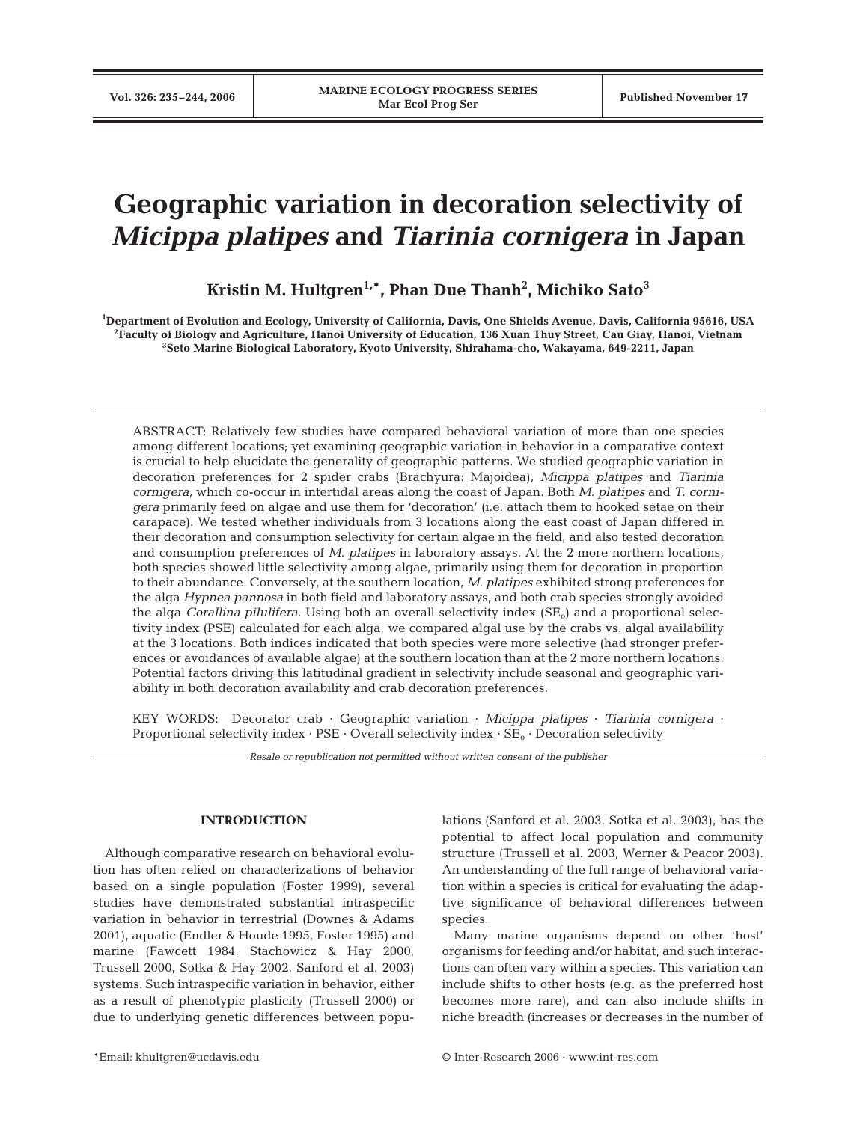# **Geographic variation in decoration selectivity of** *Micippa platipes* **and** *Tiarinia cornigera* **in Japan**

**Kristin M. Hultgren1,\*, Phan Due Thanh2 , Michiko Sato3**

**1 Department of Evolution and Ecology, University of California, Davis, One Shields Avenue, Davis, California 95616, USA 2Faculty of Biology and Agriculture, Hanoi University of Education, 136 Xuan Thuy Street, Cau Giay, Hanoi, Vietnam 3 Seto Marine Biological Laboratory, Kyoto University, Shirahama-cho, Wakayama, 649-2211, Japan**

ABSTRACT: Relatively few studies have compared behavioral variation of more than one species among different locations; yet examining geographic variation in behavior in a comparative context is crucial to help elucidate the generality of geographic patterns. We studied geographic variation in decoration preferences for 2 spider crabs (Brachyura: Majoidea), *Micippa platipes* and *Tiarinia cornigera,* which co-occur in intertidal areas along the coast of Japan. Both *M. platipes* and *T. cornigera* primarily feed on algae and use them for 'decoration' (i.e. attach them to hooked setae on their carapace). We tested whether individuals from 3 locations along the east coast of Japan differed in their decoration and consumption selectivity for certain algae in the field, and also tested decoration and consumption preferences of *M. platipes* in laboratory assays. At the 2 more northern locations*,* both species showed little selectivity among algae, primarily using them for decoration in proportion to their abundance. Conversely, at the southern location, *M. platipes* exhibited strong preferences for the alga *Hypnea pannosa* in both field and laboratory assays, and both crab species strongly avoided the alga *Corallina pilulifera*. Using both an overall selectivity index (SE<sub>o</sub>) and a proportional selectivity index (PSE) calculated for each alga, we compared algal use by the crabs vs. algal availability at the 3 locations. Both indices indicated that both species were more selective (had stronger preferences or avoidances of available algae) at the southern location than at the 2 more northern locations. Potential factors driving this latitudinal gradient in selectivity include seasonal and geographic variability in both decoration availability and crab decoration preferences.

KEY WORDS: Decorator crab · Geographic variation · *Micippa platipes* · *Tiarinia cornigera* · Proportional selectivity index · PSE · Overall selectivity index · SE<sub>o</sub> · Decoration selectivity

*Resale or republication not permitted without written consent of the publisher*

# **INTRODUCTION**

Although comparative research on behavioral evolution has often relied on characterizations of behavior based on a single population (Foster 1999), several studies have demonstrated substantial intraspecific variation in behavior in terrestrial (Downes & Adams 2001), aquatic (Endler & Houde 1995, Foster 1995) and marine (Fawcett 1984, Stachowicz & Hay 2000, Trussell 2000, Sotka & Hay 2002, Sanford et al. 2003) systems. Such intraspecific variation in behavior, either as a result of phenotypic plasticity (Trussell 2000) or due to underlying genetic differences between populations (Sanford et al. 2003, Sotka et al. 2003), has the potential to affect local population and community structure (Trussell et al. 2003, Werner & Peacor 2003). An understanding of the full range of behavioral variation within a species is critical for evaluating the adaptive significance of behavioral differences between species.

Many marine organisms depend on other 'host' organisms for feeding and/or habitat, and such interactions can often vary within a species. This variation can include shifts to other hosts (e.g. as the preferred host becomes more rare), and can also include shifts in niche breadth (increases or decreases in the number of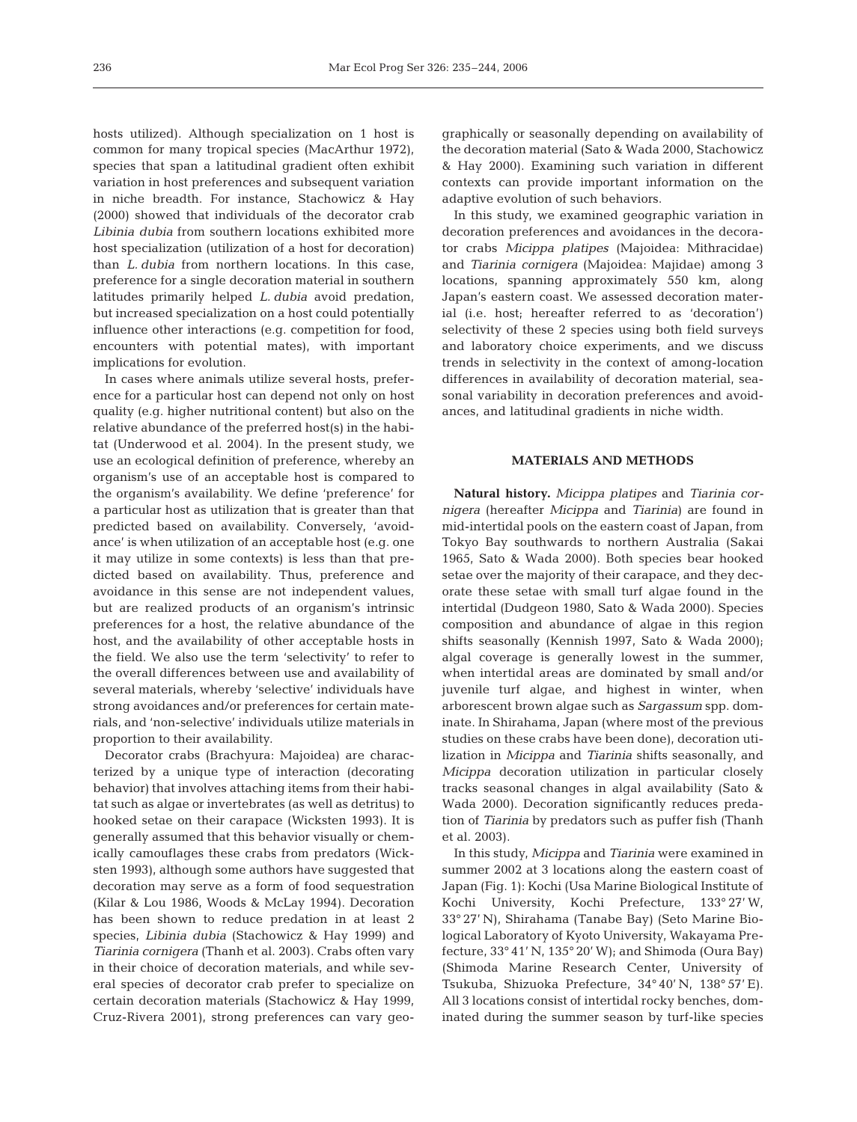hosts utilized). Although specialization on 1 host is common for many tropical species (MacArthur 1972), species that span a latitudinal gradient often exhibit variation in host preferences and subsequent variation in niche breadth. For instance, Stachowicz & Hay (2000) showed that individuals of the decorator crab *Libinia dubia* from southern locations exhibited more host specialization (utilization of a host for decoration) than *L. dubia* from northern locations. In this case, preference for a single decoration material in southern latitudes primarily helped *L. dubia* avoid predation, but increased specialization on a host could potentially influence other interactions (e.g. competition for food, encounters with potential mates), with important implications for evolution.

In cases where animals utilize several hosts, preference for a particular host can depend not only on host quality (e.g. higher nutritional content) but also on the relative abundance of the preferred host(s) in the habitat (Underwood et al. 2004). In the present study, we use an ecological definition of preference*,* whereby an organism's use of an acceptable host is compared to the organism's availability. We define 'preference' for a particular host as utilization that is greater than that predicted based on availability. Conversely, 'avoidance' is when utilization of an acceptable host (e.g. one it may utilize in some contexts) is less than that predicted based on availability. Thus, preference and avoidance in this sense are not independent values, but are realized products of an organism's intrinsic preferences for a host, the relative abundance of the host, and the availability of other acceptable hosts in the field. We also use the term 'selectivity' to refer to the overall differences between use and availability of several materials, whereby 'selective' individuals have strong avoidances and/or preferences for certain materials, and 'non-selective' individuals utilize materials in proportion to their availability.

Decorator crabs (Brachyura: Majoidea) are characterized by a unique type of interaction (decorating behavior) that involves attaching items from their habitat such as algae or invertebrates (as well as detritus) to hooked setae on their carapace (Wicksten 1993). It is generally assumed that this behavior visually or chemically camouflages these crabs from predators (Wicksten 1993), although some authors have suggested that decoration may serve as a form of food sequestration (Kilar & Lou 1986, Woods & McLay 1994). Decoration has been shown to reduce predation in at least 2 species, *Libinia dubia* (Stachowicz & Hay 1999) and *Tiarinia cornigera* (Thanh et al. 2003). Crabs often vary in their choice of decoration materials, and while several species of decorator crab prefer to specialize on certain decoration materials (Stachowicz & Hay 1999, Cruz-Rivera 2001), strong preferences can vary geographically or seasonally depending on availability of the decoration material (Sato & Wada 2000, Stachowicz & Hay 2000). Examining such variation in different contexts can provide important information on the adaptive evolution of such behaviors.

In this study, we examined geographic variation in decoration preferences and avoidances in the decorator crabs *Micippa platipes* (Majoidea: Mithracidae) and *Tiarinia cornigera* (Majoidea: Majidae) among 3 locations, spanning approximately 550 km, along Japan's eastern coast. We assessed decoration material (i.e. host; hereafter referred to as 'decoration') selectivity of these 2 species using both field surveys and laboratory choice experiments, and we discuss trends in selectivity in the context of among-location differences in availability of decoration material, seasonal variability in decoration preferences and avoidances, and latitudinal gradients in niche width.

# **MATERIALS AND METHODS**

**Natural history.** *Micippa platipes* and *Tiarinia cornigera* (hereafter *Micippa* and *Tiarinia*) are found in mid-intertidal pools on the eastern coast of Japan, from Tokyo Bay southwards to northern Australia (Sakai 1965, Sato & Wada 2000). Both species bear hooked setae over the majority of their carapace, and they decorate these setae with small turf algae found in the intertidal (Dudgeon 1980, Sato & Wada 2000). Species composition and abundance of algae in this region shifts seasonally (Kennish 1997, Sato & Wada 2000); algal coverage is generally lowest in the summer, when intertidal areas are dominated by small and/or juvenile turf algae, and highest in winter, when arborescent brown algae such as *Sargassum* spp. dominate. In Shirahama, Japan (where most of the previous studies on these crabs have been done), decoration utilization in *Micippa* and *Tiarinia* shifts seasonally, and *Micippa* decoration utilization in particular closely tracks seasonal changes in algal availability (Sato & Wada 2000). Decoration significantly reduces predation of *Tiarinia* by predators such as puffer fish (Thanh et al. 2003).

In this study, *Micippa* and *Tiarinia* were examined in summer 2002 at 3 locations along the eastern coast of Japan (Fig. 1): Kochi (Usa Marine Biological Institute of Kochi University, Kochi Prefecture, 133° 27' W, 33° 27' N), Shirahama (Tanabe Bay) (Seto Marine Biological Laboratory of Kyoto University, Wakayama Prefecture, 33° 41' N, 135° 20' W); and Shimoda (Oura Bay) (Shimoda Marine Research Center, University of Tsukuba, Shizuoka Prefecture, 34° 40' N, 138° 57' E). All 3 locations consist of intertidal rocky benches, dominated during the summer season by turf-like species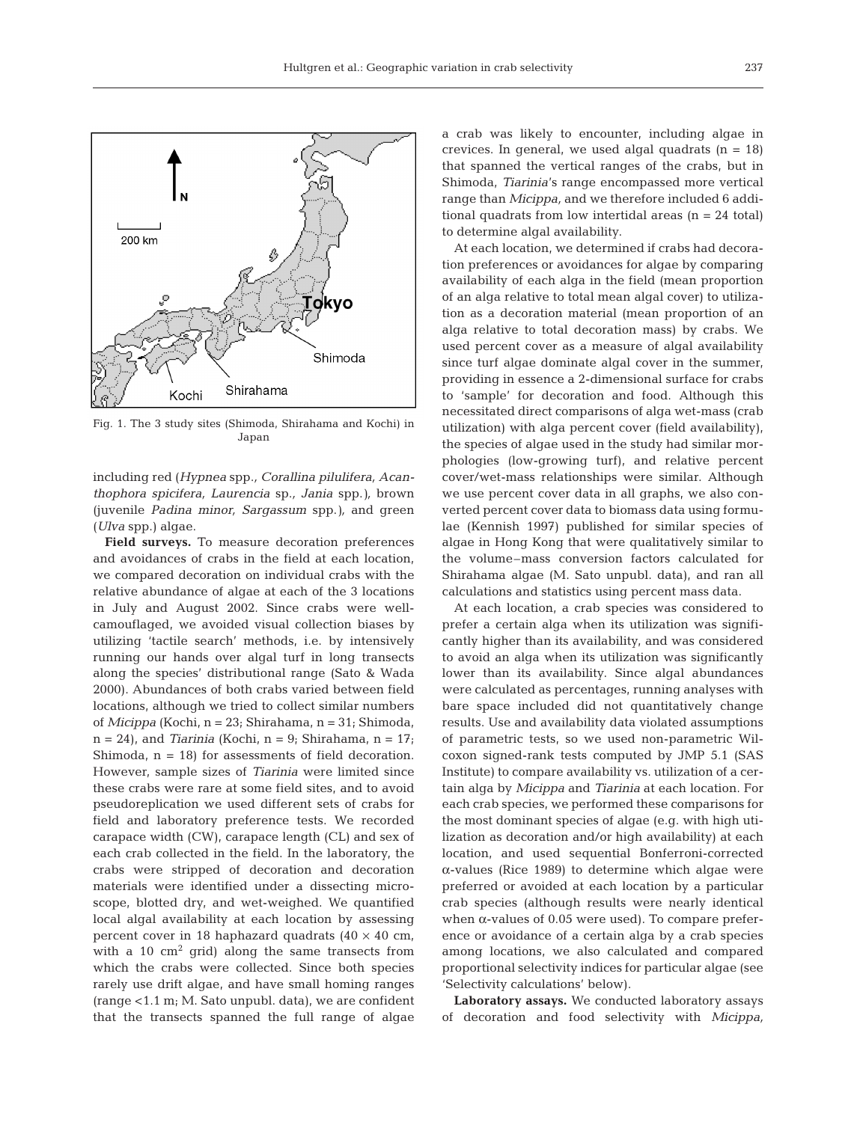

Fig. 1. The 3 study sites (Shimoda, Shirahama and Kochi) in Japan

including red (*Hypnea* spp.*, Corallina pilulifera, Acanthophora spicifera, Laurencia* sp.*, Jania* spp.*),* brown (juvenile *Padina minor, Sargassum* spp.*),* and green (*Ulva* spp.) algae.

**Field surveys.** To measure decoration preferences and avoidances of crabs in the field at each location, we compared decoration on individual crabs with the relative abundance of algae at each of the 3 locations in July and August 2002. Since crabs were wellcamouflaged, we avoided visual collection biases by utilizing 'tactile search' methods, i.e. by intensively running our hands over algal turf in long transects along the species' distributional range (Sato & Wada 2000). Abundances of both crabs varied between field locations, although we tried to collect similar numbers of *Micippa* (Kochi, n = 23; Shirahama, n = 31; Shimoda,  $n = 24$ ), and *Tiarinia* (Kochi,  $n = 9$ ; Shirahama,  $n = 17$ ; Shimoda,  $n = 18$ ) for assessments of field decoration. However, sample sizes of *Tiarinia* were limited since these crabs were rare at some field sites, and to avoid pseudoreplication we used different sets of crabs for field and laboratory preference tests. We recorded carapace width (CW), carapace length (CL) and sex of each crab collected in the field. In the laboratory, the crabs were stripped of decoration and decoration materials were identified under a dissecting microscope, blotted dry, and wet-weighed. We quantified local algal availability at each location by assessing percent cover in 18 haphazard quadrats  $(40 \times 40 \text{ cm},$ with a 10  $\text{cm}^2$  grid) along the same transects from which the crabs were collected. Since both species rarely use drift algae, and have small homing ranges (range <1.1 m; M. Sato unpubl. data), we are confident that the transects spanned the full range of algae a crab was likely to encounter, including algae in crevices. In general, we used algal quadrats  $(n = 18)$ that spanned the vertical ranges of the crabs, but in Shimoda, *Tiarinia*'s range encompassed more vertical range than *Micippa,* and we therefore included 6 additional quadrats from low intertidal areas  $(n = 24$  total) to determine algal availability.

At each location, we determined if crabs had decoration preferences or avoidances for algae by comparing availability of each alga in the field (mean proportion of an alga relative to total mean algal cover) to utilization as a decoration material (mean proportion of an alga relative to total decoration mass) by crabs. We used percent cover as a measure of algal availability since turf algae dominate algal cover in the summer, providing in essence a 2-dimensional surface for crabs to 'sample' for decoration and food. Although this necessitated direct comparisons of alga wet-mass (crab utilization) with alga percent cover (field availability), the species of algae used in the study had similar morphologies (low-growing turf), and relative percent cover/wet-mass relationships were similar. Although we use percent cover data in all graphs, we also converted percent cover data to biomass data using formulae (Kennish 1997) published for similar species of algae in Hong Kong that were qualitatively similar to the volume–mass conversion factors calculated for Shirahama algae (M. Sato unpubl. data), and ran all calculations and statistics using percent mass data.

At each location, a crab species was considered to prefer a certain alga when its utilization was significantly higher than its availability, and was considered to avoid an alga when its utilization was significantly lower than its availability. Since algal abundances were calculated as percentages, running analyses with bare space included did not quantitatively change results. Use and availability data violated assumptions of parametric tests, so we used non-parametric Wilcoxon signed-rank tests computed by JMP 5.1 (SAS Institute) to compare availability vs. utilization of a certain alga by *Micippa* and *Tiarinia* at each location. For each crab species, we performed these comparisons for the most dominant species of algae (e.g. with high utilization as decoration and/or high availability) at each location, and used sequential Bonferroni-corrected α-values (Rice 1989) to determine which algae were preferred or avoided at each location by a particular crab species (although results were nearly identical when  $α$ -values of  $0.05$  were used). To compare preference or avoidance of a certain alga by a crab species among locations, we also calculated and compared proportional selectivity indices for particular algae (see 'Selectivity calculations' below).

**Laboratory assays.** We conducted laboratory assays of decoration and food selectivity with *Micippa,*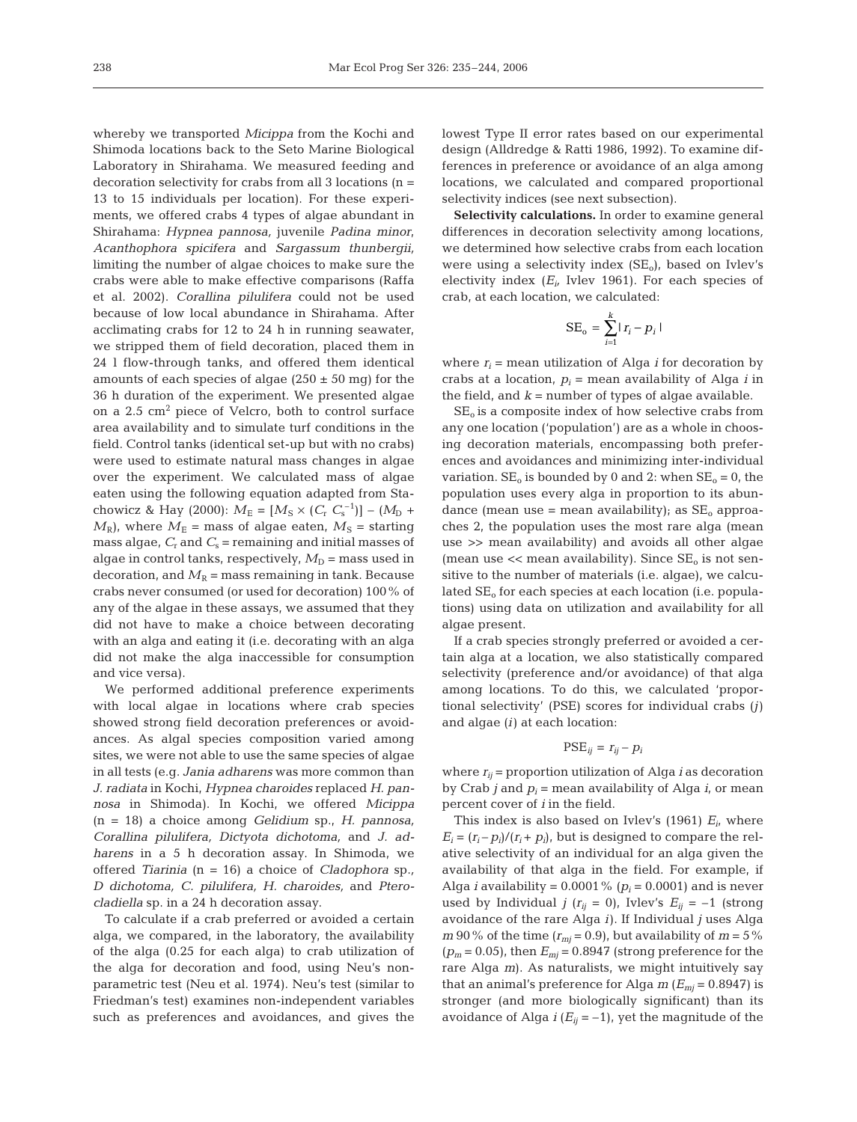whereby we transported *Micippa* from the Kochi and Shimoda locations back to the Seto Marine Biological Laboratory in Shirahama. We measured feeding and decoration selectivity for crabs from all 3 locations (n = 13 to 15 individuals per location). For these experiments, we offered crabs 4 types of algae abundant in Shirahama: *Hypnea pannosa,* juvenile *Padina minor*, *Acanthophora spicifera* and *Sargassum thunbergii,* limiting the number of algae choices to make sure the crabs were able to make effective comparisons (Raffa et al. 2002). *Corallina pilulifera* could not be used because of low local abundance in Shirahama. After acclimating crabs for 12 to 24 h in running seawater, we stripped them of field decoration, placed them in 24 l flow-through tanks, and offered them identical amounts of each species of algae ( $250 \pm 50$  mg) for the 36 h duration of the experiment. We presented algae on a 2.5 cm2 piece of Velcro, both to control surface area availability and to simulate turf conditions in the field. Control tanks (identical set-up but with no crabs) were used to estimate natural mass changes in algae over the experiment. We calculated mass of algae eaten using the following equation adapted from Stachowicz & Hay (2000):  $M_{\rm E} = [M_{\rm S} \times (C_{\rm r} C_{\rm s}^{-1})] - (M_{\rm D} +$  $M_{\rm R}$ , where  $M_{\rm E}$  = mass of algae eaten,  $M_{\rm S}$  = starting mass algae,  $C_r$  and  $C_s$  = remaining and initial masses of algae in control tanks, respectively,  $M_D$  = mass used in decoration, and  $M_R$  = mass remaining in tank. Because crabs never consumed (or used for decoration) 100% of any of the algae in these assays, we assumed that they did not have to make a choice between decorating with an alga and eating it (i.e. decorating with an alga did not make the alga inaccessible for consumption and vice versa).

We performed additional preference experiments with local algae in locations where crab species showed strong field decoration preferences or avoidances. As algal species composition varied among sites, we were not able to use the same species of algae in all tests (e.g. *Jania adharens* was more common than *J. radiata* in Kochi, *Hypnea charoides* replaced *H. pannosa* in Shimoda). In Kochi, we offered *Micippa* (n = 18) a choice among *Gelidium* sp., *H. pannosa, Corallina pilulifera, Dictyota dichotoma,* and *J. adharens* in a 5 h decoration assay. In Shimoda, we offered *Tiarinia* (n = 16) a choice of *Cladophora* sp.*, D dichotoma, C. pilulifera, H. charoides,* and *Pterocladiella* sp. in a 24 h decoration assay.

To calculate if a crab preferred or avoided a certain alga, we compared, in the laboratory, the availability of the alga (0.25 for each alga) to crab utilization of the alga for decoration and food, using Neu's nonparametric test (Neu et al. 1974). Neu's test (similar to Friedman's test) examines non-independent variables such as preferences and avoidances, and gives the

lowest Type II error rates based on our experimental design (Alldredge & Ratti 1986, 1992). To examine differences in preference or avoidance of an alga among locations, we calculated and compared proportional selectivity indices (see next subsection).

**Selectivity calculations.** In order to examine general differences in decoration selectivity among locations*,* we determined how selective crabs from each location were using a selectivity index  $(SE_0)$ , based on Ivlev's electivity index  $(E_i)$  Ivlev 1961). For each species of crab, at each location, we calculated:

$$
SE_o = \sum_{i=1}^{k} |r_i - p_i|
$$

where  $r_i$  = mean utilization of Alga *i* for decoration by crabs at a location,  $p_i$  = mean availability of Alga *i* in the field, and  $k =$  number of types of algae available.

 $SE<sub>o</sub>$  is a composite index of how selective crabs from any one location ('population') are as a whole in choosing decoration materials, encompassing both preferences and avoidances and minimizing inter-individual variation.  $SE_0$  is bounded by 0 and 2: when  $SE_0 = 0$ , the population uses every alga in proportion to its abundance (mean use = mean availability); as  $SE_0$  approaches 2, the population uses the most rare alga (mean use >> mean availability) and avoids all other algae (mean use  $<<$  mean availability). Since  $SE_0$  is not sensitive to the number of materials (i.e. algae), we calculated  $SE<sub>o</sub>$  for each species at each location (i.e. populations) using data on utilization and availability for all algae present.

If a crab species strongly preferred or avoided a certain alga at a location, we also statistically compared selectivity (preference and/or avoidance) of that alga among locations. To do this, we calculated 'proportional selectivity' (PSE) scores for individual crabs (*j*) and algae (*i*) at each location:

# $PSE_{ij} = r_{ij} - p_i$

where  $r_{ii}$  = proportion utilization of Alga *i* as decoration by Crab *j* and  $p_i$  = mean availability of Alga *i*, or mean percent cover of *i* in the field.

This index is also based on Ivlev's  $(1961)$   $E_i$ , where  $E_i = (r_i - p_i)/(r_i + p_i)$ , but is designed to compare the relative selectivity of an individual for an alga given the availability of that alga in the field. For example, if Alga *i* availability =  $0.0001\%$  ( $p_i$  = 0.0001) and is never used by Individual *j* ( $r_{ij} = 0$ ), Ivlev's  $E_{ij} = -1$  (strong avoidance of the rare Alga *i*). If Individual *j* uses Alga  $m$  90% of the time  $(r_{mj} = 0.9)$ , but availability of  $m = 5\%$  $(p_m = 0.05)$ , then  $E_{mi} = 0.8947$  (strong preference for the rare Alga *m*). As naturalists, we might intuitively say that an animal's preference for Alga  $m(E_{mi}=0.8947)$  is stronger (and more biologically significant) than its avoidance of Alga  $i(E_{ii} = -1)$ , yet the magnitude of the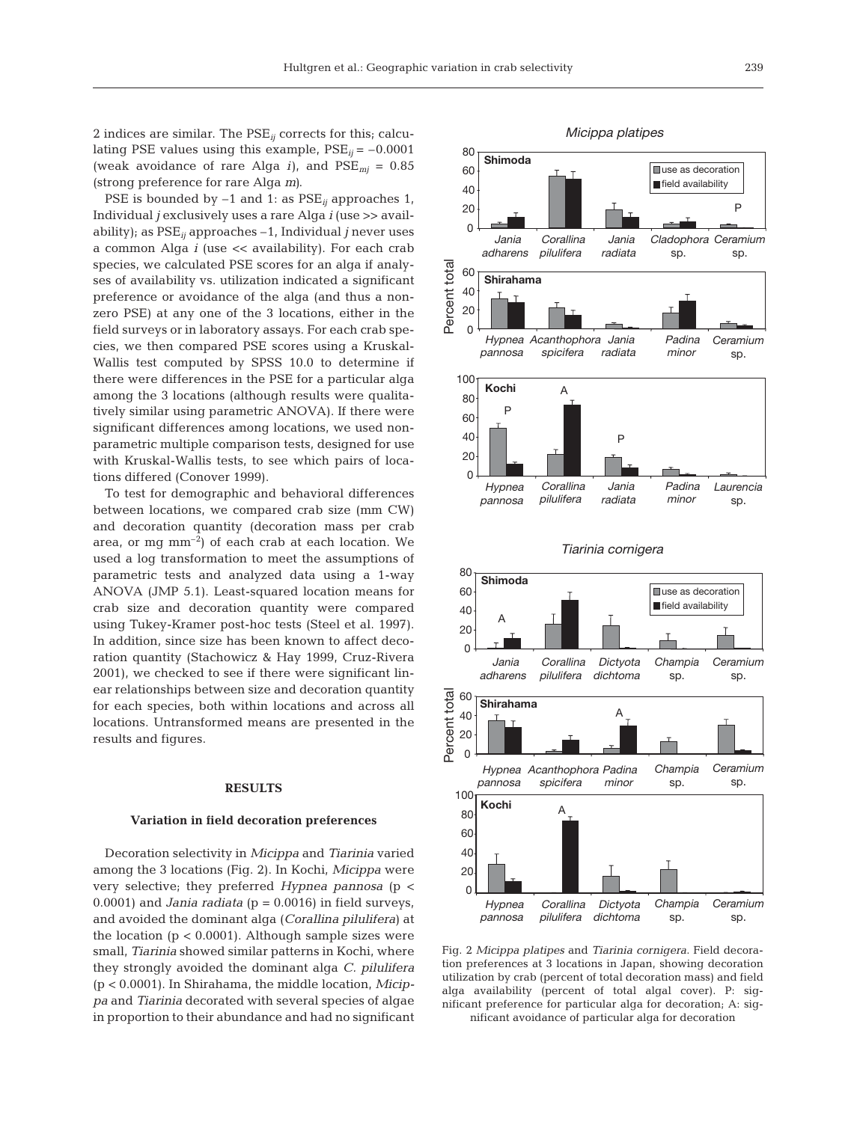2 indices are similar. The PSE*ij* corrects for this; calculating PSE values using this example,  $PSE_{ii} = -0.0001$ (weak avoidance of rare Alga *i*), and  $PSE_{mi} = 0.85$ (strong preference for rare Alga *m)*.

PSE is bounded by –1 and 1: as PSE*ij* approaches 1, Individual *j* exclusively uses a rare Alga *i* (use >> availability); as PSE*ij* approaches –1, Individual *j* never uses a common Alga *i* (use << availability). For each crab species, we calculated PSE scores for an alga if analyses of availability vs. utilization indicated a significant preference or avoidance of the alga (and thus a nonzero PSE) at any one of the 3 locations, either in the field surveys or in laboratory assays. For each crab species, we then compared PSE scores using a Kruskal-Wallis test computed by SPSS 10.0 to determine if there were differences in the PSE for a particular alga among the 3 locations (although results were qualitatively similar using parametric ANOVA). If there were significant differences among locations, we used nonparametric multiple comparison tests, designed for use with Kruskal-Wallis tests, to see which pairs of locations differed (Conover 1999).

To test for demographic and behavioral differences between locations, we compared crab size (mm CW) and decoration quantity (decoration mass per crab area, or mg  $mm^{-2}$ ) of each crab at each location. We used a log transformation to meet the assumptions of parametric tests and analyzed data using a 1-way ANOVA (JMP 5.1). Least-squared location means for crab size and decoration quantity were compared using Tukey-Kramer post-hoc tests (Steel et al. 1997). In addition, since size has been known to affect decoration quantity (Stachowicz & Hay 1999, Cruz-Rivera 2001), we checked to see if there were significant linear relationships between size and decoration quantity for each species, both within locations and across all locations. Untransformed means are presented in the results and figures.

# **RESULTS**

#### **Variation in field decoration preferences**

Decoration selectivity in *Micippa* and *Tiarinia* varied among the 3 locations (Fig. 2). In Kochi, *Micippa* were very selective; they preferred *Hypnea pannosa* (p < 0.0001) and *Jania radiata* ( $p = 0.0016$ ) in field surveys, and avoided the dominant alga (*Corallina pilulifera*) at the location  $(p < 0.0001)$ . Although sample sizes were small, *Tiarinia* showed similar patterns in Kochi, where they strongly avoided the dominant alga *C. pilulifera* (p < 0.0001). In Shirahama, the middle location, *Micippa* and *Tiarinia* decorated with several species of algae in proportion to their abundance and had no significant



Fig. 2 *Micippa platipes* and *Tiarinia cornigera*. Field decoration preferences at 3 locations in Japan, showing decoration utilization by crab (percent of total decoration mass) and field alga availability (percent of total algal cover). P: significant preference for particular alga for decoration; A: significant avoidance of particular alga for decoration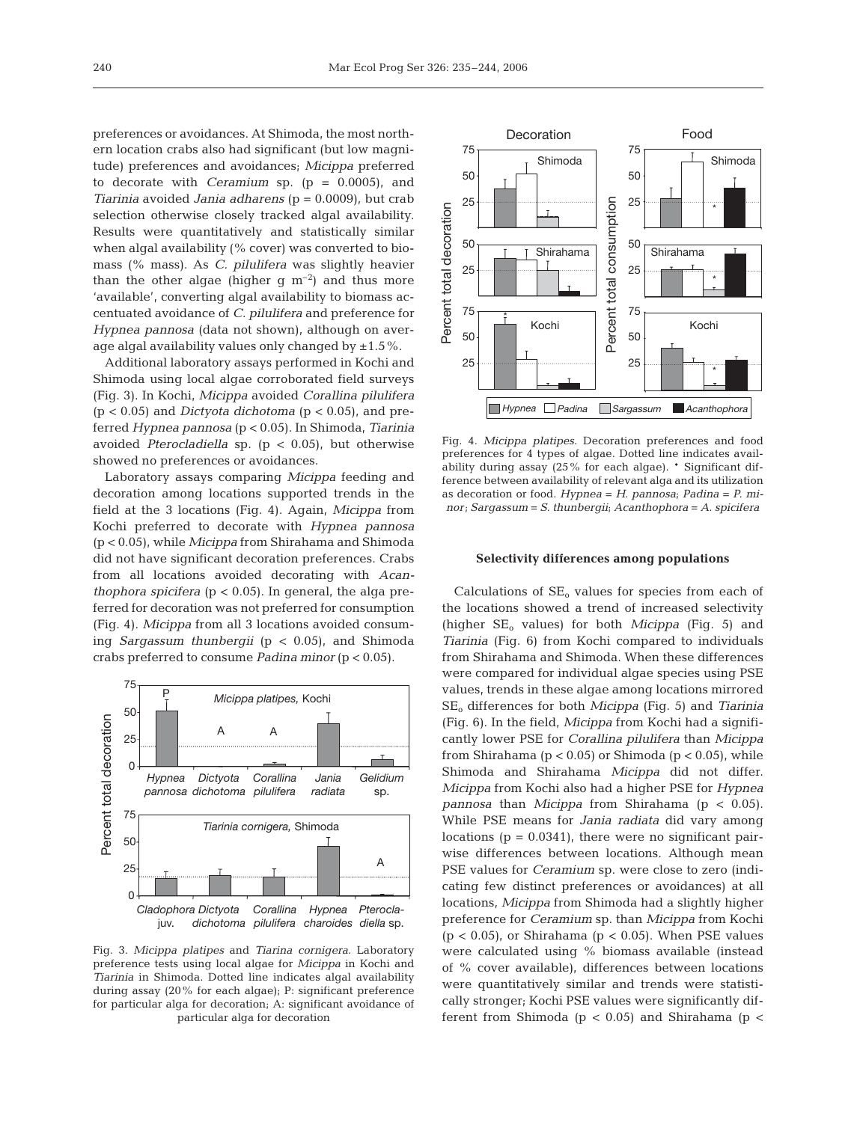preferences or avoidances. At Shimoda, the most northern location crabs also had significant (but low magnitude) preferences and avoidances; *Micippa* preferred to decorate with *Ceramium* sp. (p = 0.0005), and *Tiarinia* avoided *Jania adharens* (p = 0.0009), but crab selection otherwise closely tracked algal availability. Results were quantitatively and statistically similar when algal availability (% cover) was converted to biomass (% mass). As *C. pilulifera* was slightly heavier than the other algae (higher g  $m^{-2}$ ) and thus more 'available', converting algal availability to biomass accentuated avoidance of *C. pilulifera* and preference for *Hypnea pannosa* (data not shown), although on average algal availability values only changed by  $\pm 1.5\%$ .

Additional laboratory assays performed in Kochi and Shimoda using local algae corroborated field surveys (Fig. 3). In Kochi, *Micippa* avoided *Corallina pilulifera* (p < 0.05) and *Dictyota dichotoma* (p < 0.05), and preferred *Hypnea pannosa* (p < 0.05). In Shimoda, *Tiarinia* avoided *Pterocladiella* sp. (p < 0.05), but otherwise showed no preferences or avoidances.

Laboratory assays comparing *Micippa* feeding and decoration among locations supported trends in the field at the 3 locations (Fig. 4). Again, *Micippa* from Kochi preferred to decorate with *Hypnea pannosa* (p < 0.05), while *Micippa* from Shirahama and Shimoda did not have significant decoration preferences. Crabs from all locations avoided decorating with *Acanthophora spicifera* ( $p < 0.05$ ). In general, the alga preferred for decoration was not preferred for consumption (Fig. 4). *Micippa* from all 3 locations avoided consuming *Sargassum thunbergii* (p < 0.05), and Shimoda crabs preferred to consume *Padina minor* (p < 0.05).



Fig. 3. *Micippa platipes* and *Tiarina cornigera*. Laboratory preference tests using local algae for *Micippa* in Kochi and *Tiarinia* in Shimoda. Dotted line indicates algal availability during assay (20% for each algae); P: significant preference for particular alga for decoration; A: significant avoidance of particular alga for decoration



Fig. 4. *Micippa platipes*. Decoration preferences and food preferences for 4 types of algae. Dotted line indicates availability during assay (25% for each algae). \* Significant difference between availability of relevant alga and its utilization as decoration or food. *Hypnea* = *H. pannosa*; *Padina* = *P. minor*; *Sargassum* = *S. thunbergii*; *Acanthophora* = *A. spicifera*

#### **Selectivity differences among populations**

Calculations of  $SE_0$  values for species from each of the locations showed a trend of increased selectivity (higher SE<sub>o</sub> values) for both *Micippa* (Fig. 5) and *Tiarinia* (Fig. 6) from Kochi compared to individuals from Shirahama and Shimoda. When these differences were compared for individual algae species using PSE values, trends in these algae among locations mirrored SEo differences for both *Micippa* (Fig. 5) and *Tiarinia* (Fig. 6). In the field, *Micippa* from Kochi had a significantly lower PSE for *Corallina pilulifera* than *Micippa* from Shirahama ( $p < 0.05$ ) or Shimoda ( $p < 0.05$ ), while Shimoda and Shirahama *Micippa* did not differ. *Micippa* from Kochi also had a higher PSE for *Hypnea pannosa* than *Micippa* from Shirahama (p < 0.05). While PSE means for *Jania radiata* did vary among locations  $(p = 0.0341)$ , there were no significant pairwise differences between locations. Although mean PSE values for *Ceramium* sp. were close to zero (indicating few distinct preferences or avoidances) at all locations, *Micippa* from Shimoda had a slightly higher preference for *Ceramium* sp. than *Micippa* from Kochi  $(p < 0.05)$ , or Shirahama  $(p < 0.05)$ . When PSE values were calculated using % biomass available (instead of % cover available), differences between locations were quantitatively similar and trends were statistically stronger; Kochi PSE values were significantly different from Shimoda  $(p < 0.05)$  and Shirahama  $(p <$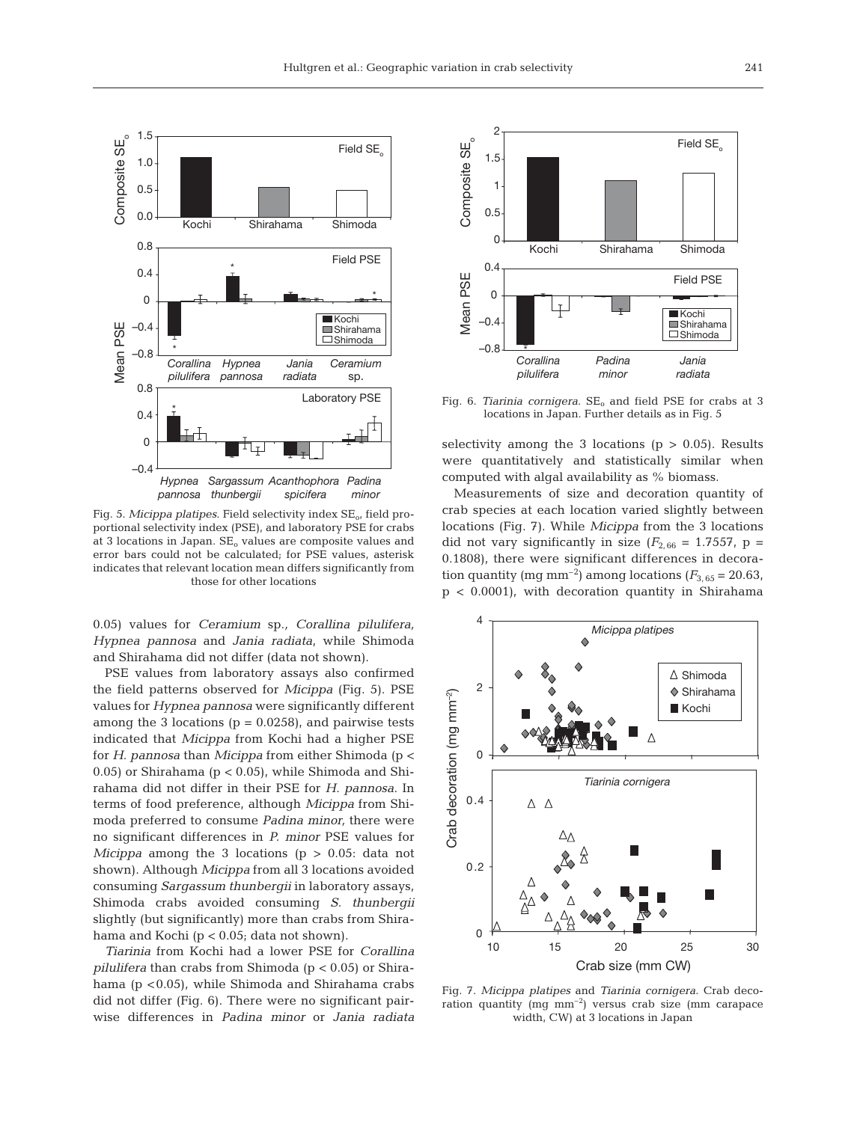

Fig. 5. *Micippa platipes*. Field selectivity index SE<sub>0</sub>, field proportional selectivity index (PSE), and laboratory PSE for crabs at 3 locations in Japan.  $SE_0$  values are composite values and error bars could not be calculated; for PSE values, asterisk indicates that relevant location mean differs significantly from those for other locations

0.05) values for *Ceramium* sp.*, Corallina pilulifera, Hypnea pannosa* and *Jania radiata*, while Shimoda and Shirahama did not differ (data not shown).

PSE values from laboratory assays also confirmed the field patterns observed for *Micippa* (Fig. 5). PSE values for *Hypnea pannosa* were significantly different among the 3 locations ( $p = 0.0258$ ), and pairwise tests indicated that *Micippa* from Kochi had a higher PSE for *H. pannosa* than *Micippa* from either Shimoda (p < 0.05) or Shirahama ( $p < 0.05$ ), while Shimoda and Shirahama did not differ in their PSE for *H. pannosa*. In terms of food preference, although *Micippa* from Shimoda preferred to consume *Padina minor,* there were no significant differences in *P. minor* PSE values for *Micippa* among the 3 locations (p > 0.05: data not shown). Although *Micippa* from all 3 locations avoided consuming *Sargassum thunbergii* in laboratory assays, Shimoda crabs avoided consuming *S. thunbergii* slightly (but significantly) more than crabs from Shirahama and Kochi (p < 0.05; data not shown).

*Tiarinia* from Kochi had a lower PSE for *Corallina pilulifera* than crabs from Shimoda (p < 0.05) or Shirahama (p <0.05), while Shimoda and Shirahama crabs did not differ (Fig. 6). There were no significant pairwise differences in *Padina minor* or *Jania radiata*



Fig. 6. *Tiarinia cornigera*. SE<sub>o</sub> and field PSE for crabs at 3 locations in Japan. Further details as in Fig. 5

selectivity among the 3 locations ( $p > 0.05$ ). Results were quantitatively and statistically similar when computed with algal availability as % biomass.

Measurements of size and decoration quantity of crab species at each location varied slightly between locations (Fig. 7). While *Micippa* from the 3 locations did not vary significantly in size  $(F_{2,66} = 1.7557, p =$ 0.1808), there were significant differences in decoration quantity (mg mm<sup>-2</sup>) among locations ( $F_{3.65}$  = 20.63, p < 0.0001), with decoration quantity in Shirahama



Fig. 7. *Micippa platipes* and *Tiarinia cornigera*. Crab decoration quantity (mg  $mm^{-2}$ ) versus crab size (mm carapace width, CW) at 3 locations in Japan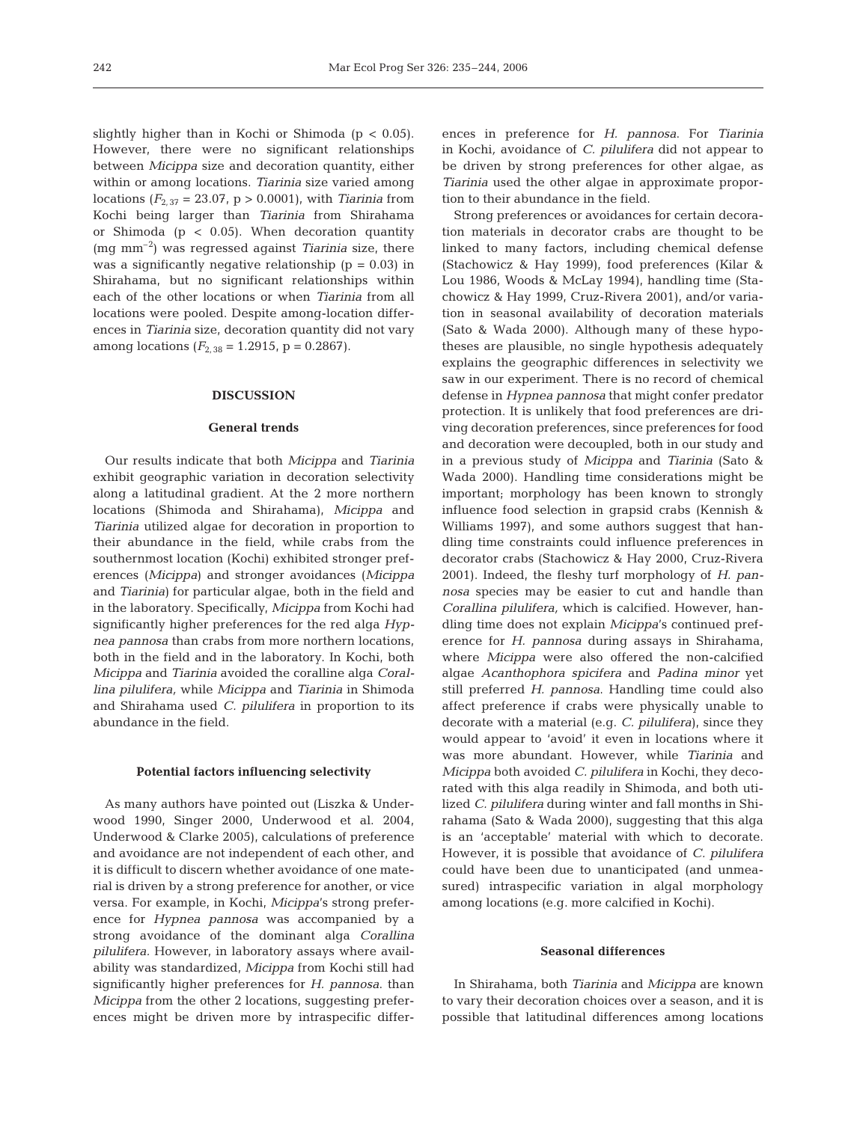slightly higher than in Kochi or Shimoda ( $p < 0.05$ ). However, there were no significant relationships between *Micippa* size and decoration quantity, either within or among locations. *Tiarinia* size varied among locations (*F*2, 37 = 23.07, p > 0.0001), with *Tiarinia* from Kochi being larger than *Tiarinia* from Shirahama or Shimoda ( $p < 0.05$ ). When decoration quantity (mg mm–2) was regressed against *Tiarinia* size, there was a significantly negative relationship ( $p = 0.03$ ) in Shirahama, but no significant relationships within each of the other locations or when *Tiarinia* from all locations were pooled. Despite among-location differences in *Tiarinia* size, decoration quantity did not vary among locations  $(F_{2,38} = 1.2915, p = 0.2867)$ .

# **DISCUSSION**

#### **General trends**

Our results indicate that both *Micippa* and *Tiarinia* exhibit geographic variation in decoration selectivity along a latitudinal gradient. At the 2 more northern locations (Shimoda and Shirahama), *Micippa* and *Tiarinia* utilized algae for decoration in proportion to their abundance in the field, while crabs from the southernmost location (Kochi) exhibited stronger preferences (*Micippa*) and stronger avoidances (*Micippa* and *Tiarinia*) for particular algae, both in the field and in the laboratory. Specifically, *Micippa* from Kochi had significantly higher preferences for the red alga *Hypnea pannosa* than crabs from more northern locations, both in the field and in the laboratory. In Kochi, both *Micippa* and *Tiarinia* avoided the coralline alga *Corallina pilulifera,* while *Micippa* and *Tiarinia* in Shimoda and Shirahama used *C. pilulifera* in proportion to its abundance in the field.

## **Potential factors influencing selectivity**

As many authors have pointed out (Liszka & Underwood 1990, Singer 2000, Underwood et al. 2004, Underwood & Clarke 2005), calculations of preference and avoidance are not independent of each other, and it is difficult to discern whether avoidance of one material is driven by a strong preference for another, or vice versa. For example, in Kochi, *Micippa*'s strong preference for *Hypnea pannosa* was accompanied by a strong avoidance of the dominant alga *Corallina pilulifera.* However, in laboratory assays where availability was standardized, *Micippa* from Kochi still had significantly higher preferences for *H. pannosa*. than *Micippa* from the other 2 locations, suggesting preferences might be driven more by intraspecific differences in preference for *H. pannosa*. For *Tiarinia* in Kochi*,* avoidance of *C. pilulifera* did not appear to be driven by strong preferences for other algae, as *Tiarinia* used the other algae in approximate proportion to their abundance in the field.

Strong preferences or avoidances for certain decoration materials in decorator crabs are thought to be linked to many factors, including chemical defense (Stachowicz & Hay 1999), food preferences (Kilar & Lou 1986, Woods & McLay 1994), handling time (Stachowicz & Hay 1999, Cruz-Rivera 2001), and/or variation in seasonal availability of decoration materials (Sato & Wada 2000). Although many of these hypotheses are plausible, no single hypothesis adequately explains the geographic differences in selectivity we saw in our experiment. There is no record of chemical defense in *Hypnea pannosa* that might confer predator protection. It is unlikely that food preferences are driving decoration preferences, since preferences for food and decoration were decoupled, both in our study and in a previous study of *Micippa* and *Tiarinia* (Sato & Wada 2000). Handling time considerations might be important; morphology has been known to strongly influence food selection in grapsid crabs (Kennish & Williams 1997), and some authors suggest that handling time constraints could influence preferences in decorator crabs (Stachowicz & Hay 2000, Cruz-Rivera 2001). Indeed, the fleshy turf morphology of *H. pannosa* species may be easier to cut and handle than *Corallina pilulifera,* which is calcified. However, handling time does not explain *Micippa*'s continued preference for *H. pannosa* during assays in Shirahama, where *Micippa* were also offered the non-calcified algae *Acanthophora spicifera* and *Padina minor* yet still preferred *H. pannosa*. Handling time could also affect preference if crabs were physically unable to decorate with a material (e.g. *C. pilulifera*), since they would appear to 'avoid' it even in locations where it was more abundant. However, while *Tiarinia* and *Micippa* both avoided *C. pilulifera* in Kochi, they decorated with this alga readily in Shimoda, and both utilized *C. pilulifera* during winter and fall months in Shirahama (Sato & Wada 2000), suggesting that this alga is an 'acceptable' material with which to decorate. However, it is possible that avoidance of *C. pilulifera* could have been due to unanticipated (and unmeasured) intraspecific variation in algal morphology among locations (e.g. more calcified in Kochi).

## **Seasonal differences**

In Shirahama, both *Tiarinia* and *Micippa* are known to vary their decoration choices over a season, and it is possible that latitudinal differences among locations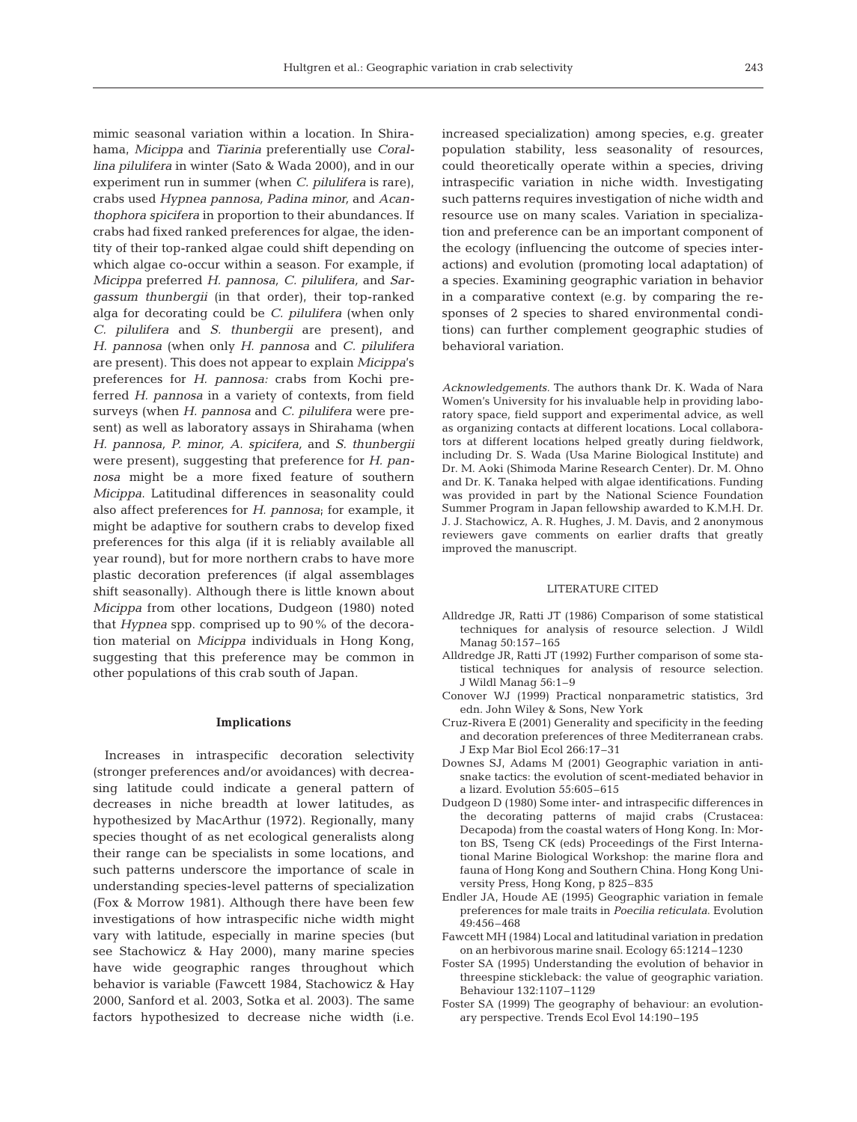mimic seasonal variation within a location. In Shirahama, *Micippa* and *Tiarinia* preferentially use *Corallina pilulifera* in winter (Sato & Wada 2000), and in our experiment run in summer (when *C. pilulifera* is rare), crabs used *Hypnea pannosa, Padina minor,* and *Acanthophora spicifera* in proportion to their abundances. If crabs had fixed ranked preferences for algae, the identity of their top-ranked algae could shift depending on which algae co-occur within a season. For example, if *Micippa* preferred *H. pannosa, C. pilulifera,* and *Sargassum thunbergii* (in that order), their top-ranked alga for decorating could be *C. pilulifera* (when only *C. pilulifera* and *S. thunbergii* are present), and *H. pannosa* (when only *H. pannosa* and *C. pilulifera* are present). This does not appear to explain *Micippa*'s preferences for *H. pannosa:* crabs from Kochi preferred *H. pannosa* in a variety of contexts, from field surveys (when *H. pannosa* and *C. pilulifera* were present) as well as laboratory assays in Shirahama (when *H. pannosa, P. minor, A. spicifera,* and *S. thunbergii* were present), suggesting that preference for *H. pannosa* might be a more fixed feature of southern *Micippa*. Latitudinal differences in seasonality could also affect preferences for *H. pannosa*; for example, it might be adaptive for southern crabs to develop fixed preferences for this alga (if it is reliably available all year round), but for more northern crabs to have more plastic decoration preferences (if algal assemblages shift seasonally). Although there is little known about *Micippa* from other locations, Dudgeon (1980) noted that *Hypnea* spp. comprised up to 90% of the decoration material on *Micippa* individuals in Hong Kong, suggesting that this preference may be common in other populations of this crab south of Japan.

# **Implications**

Increases in intraspecific decoration selectivity (stronger preferences and/or avoidances) with decreasing latitude could indicate a general pattern of decreases in niche breadth at lower latitudes, as hypothesized by MacArthur (1972). Regionally, many species thought of as net ecological generalists along their range can be specialists in some locations, and such patterns underscore the importance of scale in understanding species-level patterns of specialization (Fox & Morrow 1981). Although there have been few investigations of how intraspecific niche width might vary with latitude, especially in marine species (but see Stachowicz & Hay 2000), many marine species have wide geographic ranges throughout which behavior is variable (Fawcett 1984, Stachowicz & Hay 2000, Sanford et al. 2003, Sotka et al. 2003). The same factors hypothesized to decrease niche width (i.e.

increased specialization) among species, e.g. greater population stability, less seasonality of resources, could theoretically operate within a species, driving intraspecific variation in niche width. Investigating such patterns requires investigation of niche width and resource use on many scales. Variation in specialization and preference can be an important component of the ecology (influencing the outcome of species interactions) and evolution (promoting local adaptation) of a species. Examining geographic variation in behavior in a comparative context (e.g. by comparing the responses of 2 species to shared environmental conditions) can further complement geographic studies of behavioral variation.

*Acknowledgements.* The authors thank Dr. K. Wada of Nara Women's University for his invaluable help in providing laboratory space, field support and experimental advice, as well as organizing contacts at different locations. Local collaborators at different locations helped greatly during fieldwork, including Dr. S. Wada (Usa Marine Biological Institute) and Dr. M. Aoki (Shimoda Marine Research Center). Dr. M. Ohno and Dr. K. Tanaka helped with algae identifications. Funding was provided in part by the National Science Foundation Summer Program in Japan fellowship awarded to K.M.H. Dr. J. J. Stachowicz, A. R. Hughes, J. M. Davis, and 2 anonymous reviewers gave comments on earlier drafts that greatly improved the manuscript.

## LITERATURE CITED

- Alldredge JR, Ratti JT (1986) Comparison of some statistical techniques for analysis of resource selection. J Wildl Manag 50:157–165
- Alldredge JR, Ratti JT (1992) Further comparison of some statistical techniques for analysis of resource selection. J Wildl Manag 56:1–9
- Conover WJ (1999) Practical nonparametric statistics, 3rd edn. John Wiley & Sons, New York
- Cruz-Rivera E (2001) Generality and specificity in the feeding and decoration preferences of three Mediterranean crabs. J Exp Mar Biol Ecol 266:17–31
- Downes SJ, Adams M (2001) Geographic variation in antisnake tactics: the evolution of scent-mediated behavior in a lizard. Evolution 55:605–615
- Dudgeon D (1980) Some inter- and intraspecific differences in the decorating patterns of majid crabs (Crustacea: Decapoda) from the coastal waters of Hong Kong. In: Morton BS, Tseng CK (eds) Proceedings of the First International Marine Biological Workshop: the marine flora and fauna of Hong Kong and Southern China. Hong Kong University Press, Hong Kong, p 825–835
- Endler JA, Houde AE (1995) Geographic variation in female preferences for male traits in *Poecilia reticulata*. Evolution 49:456–468
- Fawcett MH (1984) Local and latitudinal variation in predation on an herbivorous marine snail. Ecology 65:1214–1230
- Foster SA (1995) Understanding the evolution of behavior in threespine stickleback: the value of geographic variation. Behaviour 132:1107–1129
- Foster SA (1999) The geography of behaviour: an evolutionary perspective. Trends Ecol Evol 14:190–195